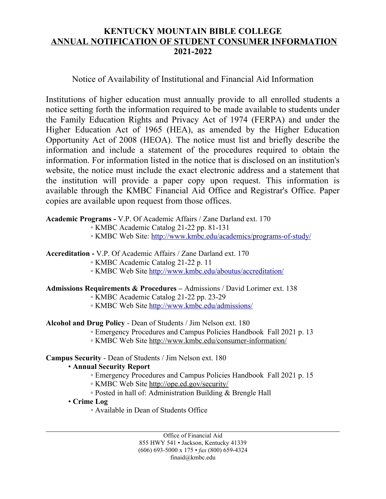# **KENTUCKY MOUNTAIN BIBLE COLLEGE ANNUAL NOTIFICATION OF STUDENT CONSUMER INFORMATION 2021-2022**

## Notice of Availability of Institutional and Financial Aid Information

Institutions of higher education must annually provide to all enrolled students a notice setting forth the information required to be made available to students under the Family Education Rights and Privacy Act of 1974 (FERPA) and under the Higher Education Act of 1965 (HEA), as amended by the Higher Education Opportunity Act of 2008 (HEOA). The notice must list and briefly describe the information and include a statement of the procedures required to obtain the information. For information listed in the notice that is disclosed on an institution's website, the notice must include the exact electronic address and a statement that the institution will provide a paper copy upon request. This information is available through the KMBC Financial Aid Office and Registrar's Office. Paper copies are available upon request from those offices.

**Academic Programs -** V.P. Of Academic Affairs / Zane Darland ext. 170

◦ KMBC Academic Catalog 21-22 pp. 81-131

◦ KMBC Web Site: <http://www.kmbc.edu/academics/programs-of-study/>

**Accreditation -** V.P. Of Academic Affairs / Zane Darland ext. 170

◦ KMBC Academic Catalog 21-22 p. 11

◦ KMBC Web Site<http://www.kmbc.edu/aboutus/accreditation/>

#### **Admissions Requirements & Procedures –** Admissions / David Lorimer ext. 138

◦ KMBC Academic Catalog 21-22 pp. 23-29

◦ KMBC Web Site<http://www.kmbc.edu/admissions/>

**Alcohol and Drug Policy** - Dean of Students / Jim Nelson ext. 180

◦ Emergency Procedures and Campus Policies Handbook Fall 2021 p. 13

◦ KMBC Web Site<http://www.kmbc.edu/consumer-information/>

## **Campus Security** - Dean of Students / Jim Nelson ext. 180

## • **Annual Security Report**

◦ Emergency Procedures and Campus Policies Handbook Fall 2021 p. 15

◦ KMBC Web Site<http://ope.ed.gov/security/>

◦ Posted in hall of: Administration Building & Brengle Hall

• **Crime Log**

◦ Available in Dean of Students Office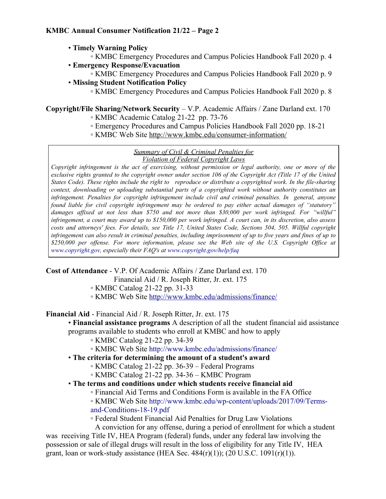- **Timely Warning Policy**
	- KMBC Emergency Procedures and Campus Policies Handbook Fall 2020 p. 4
- **Emergency Response/Evacuation**
	- KMBC Emergency Procedures and Campus Policies Handbook Fall 2020 p. 9
- **Missing Student Notification Policy**
	- KMBC Emergency Procedures and Campus Policies Handbook Fall 2020 p. 8

# **Copyright/File Sharing/Network Security** – V.P. Academic Affairs / Zane Darland ext. 170

- KMBC Academic Catalog 21-22 pp. 73-76
- Emergency Procedures and Campus Policies Handbook Fall 2020 pp. 18-21
- KMBC Web Site<http://www.kmbc.edu/consumer-information/>

#### *Summary of Civil & Criminal Penalties for Violation of Federal Copyright Laws*

*Copyright infringement is the act of exercising, without permission or legal authority, one or more of the exclusive rights granted to the copyright owner under section 106 of the Copyright Act (Title 17 of the United States Code). These rights include the right to reproduce or distribute a copyrighted work. In the file-sharing context, downloading or uploading substantial parts of a copyrighted work without authority constitutes an infringement. Penalties for copyright infringement include civil and criminal penalties. In general, anyone found liable for civil copyright infringement may be ordered to pay either actual damages of "statutory" damages affixed at not less than \$750 and not more than \$30,000 per work infringed. For "willful" infringement, a court may award up to \$150,000 per work infringed. A court can, in its discretion, also assess costs and attorneys' fees. For details, see Title 17, United States Code, Sections 504, 505. Willful copyright infringement can also result in criminal penalties, including imprisonment of up to five years and fines of up to \$250,000 per offense. For more information, please see the Web site of the U.S. Copyright Office at www.copyright.gov, especially their FAQ's at www.copyright.gov/help/faq*

**Cost of Attendance** - V.P. Of Academic Affairs / Zane Darland ext. 170

Financial Aid / R. Joseph Ritter, Jr. ext. 175

◦ KMBC Catalog 21-22 pp. 31-33

◦ KMBC Web Site<http://www.kmbc.edu/admissions/finance/>

**Financial Aid** - Financial Aid / R. Joseph Ritter, Jr. ext. 175

• **Financial assistance programs** A description of all the student financial aid assistance

programs available to students who enroll at KMBC and how to apply

- KMBC Catalog 21-22 pp. 34-39
- KMBC Web Site http://www.kmbc.edu/admissions/finance/
- **The criteria for determining the amount of a student's award**
	- KMBC Catalog 21-22 pp. 36-39 Federal Programs
	- KMBC Catalog 21-22 pp. 34-36 KMBC Program
- **The terms and conditions under which students receive financial aid**
	- Financial Aid Terms and Conditions Form is available in the FA Office
	- KMBC Web Site [http://www.kmbc.edu/wp-content/uploads/2017/09/Terms](http://www.kmbc.edu/wp-content/uploads/2017/09/Terms-and-Conditions-17-18.pdf)[and-Conditions-18-19.pdf](http://www.kmbc.edu/wp-content/uploads/2017/09/Terms-and-Conditions-17-18.pdf)
	- Federal Student Financial Aid Penalties for Drug Law Violations

 A conviction for any offense, during a period of enrollment for which a student was receiving Title IV, HEA Program (federal) funds, under any federal law involving the possession or sale of illegal drugs will result in the loss of eligibility for any Title IV, HEA grant, loan or work-study assistance (HEA Sec.  $484(r)(1)$ ); (20 U.S.C. 1091 $(r)(1)$ ).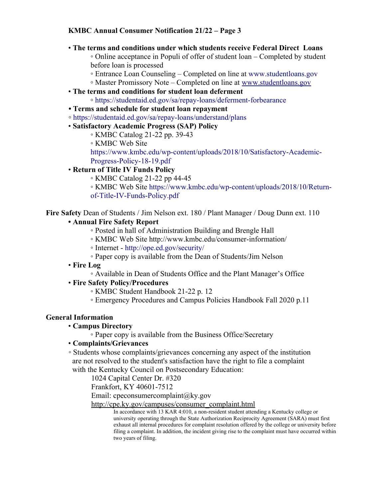### **KMBC Annual Consumer Notification 21/22 – Page 3**

#### • **The terms and conditions under which students receive Federal Direct Loans**

◦ Online acceptance in Populi of offer of student loan – Completed by student before loan is processed

- Entrance Loan Counseling Completed on line at www.studentloans.gov
- Master Promissory Note Completed on line at [www.studentloans.gov](http://www.studentloans.gov/)
- • **The terms and conditions for student loan deferment**
	- https://studentaid.ed.gov/sa/repay-loans/deferment-forbearance
- **Terms and schedule for student loan repayment**
- https://studentaid.ed.gov/sa/repay-loans/understand/plans
- **Satisfactory Academic Progress (SAP) Policy**
	- KMBC Catalog 21-22 pp. 39-43
	- KMBC Web Site

https://www.kmbc.edu/wp-content/uploads/2018/10/Satisfactory-Academic-Progress-Policy-18-19.pdf

### • **Return of Title IV Funds Policy**

◦ KMBC Catalog 21-22 pp 44-45

◦ KMBC Web Site https://www.kmbc.edu/wp-content/uploads/2018/10/Returnof-Title-IV-Funds-Policy.pdf

**Fire Safety** Dean of Students / Jim Nelson ext. 180 / Plant Manager / Doug Dunn ext. 110

#### **• Annual Fire Safety Report**

- Posted in hall of Administration Building and Brengle Hall
- KMBC Web Site http://www.kmbc.edu/consumer-information/
- Internet http://ope.ed.gov/security/
- Paper copy is available from the Dean of Students/Jim Nelson
- **Fire Log**
	- Available in Dean of Students Office and the Plant Manager's Office

#### • **Fire Safety Policy/Procedures**

- KMBC Student Handbook 21-22 p. 12
- Emergency Procedures and Campus Policies Handbook Fall 2020 p.11

#### **General Information**

#### • **Campus Directory**

◦ Paper copy is available from the Business Office/Secretary

#### • **Complaints/Grievances**

◦ Students whose complaints/grievances concerning any aspect of the institution are not resolved to the student's satisfaction have the right to file a complaint with the Kentucky Council on Postsecondary Education:

1024 Capital Center Dr. #320

Frankfort, KY 40601-7512

Email: cpeconsumercomplaint@ky.gov

[http://cpe.ky.gov/campuses/consumer\\_complaint.html](http://cpe.ky.gov/campuses/consumer_complaint.html)

In accordance with 13 KAR 4:010, a non-resident student attending a Kentucky college or university operating through the State Authorization Reciprocity Agreement (SARA) must first exhaust all internal procedures for complaint resolution offered by the college or university before filing a complaint. In addition, the incident giving rise to the complaint must have occurred within two years of filing.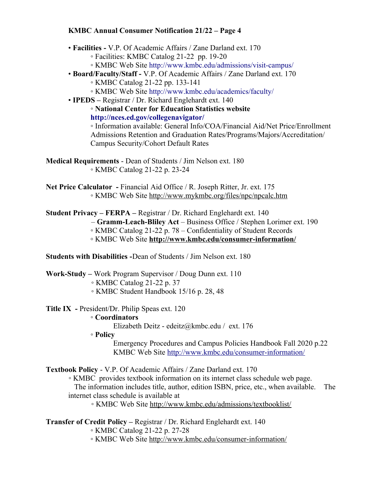#### **KMBC Annual Consumer Notification 21/22 – Page 4**

- **Facilities** V.P. Of Academic Affairs / Zane Darland ext. 170
	- Facilities: KMBC Catalog 21-22 pp. 19-20
	- KMBC Web Site http://www.kmbc.edu/admissions/visit-campus/
- **Board/Faculty/Staff** V.P. Of Academic Affairs / Zane Darland ext. 170
	- KMBC Catalog 21-22 pp. 133-141
	- KMBC Web Site http://www.kmbc.edu/academics/faculty/
- **IPEDS** Registrar / Dr. Richard Englehardt ext. 140

◦ **National Center for Education Statistics website http://nces.ed.gov/collegenavigator/**

◦ Information available: General Info/COA/Financial Aid/Net Price/Enrollment Admissions Retention and Graduation Rates/Programs/Majors/Accreditation/ Campus Security/Cohort Default Rates

- **Medical Requirements**  Dean of Students / Jim Nelson ext. 180 ◦ KMBC Catalog 21-22 p. 23-24
- **Net Price Calculator** Financial Aid Office / R. Joseph Ritter, Jr. ext. 175 ◦ KMBC Web Site<http://www.mykmbc.org/files/npc/npcalc.htm>
- **Student Privacy FERPA –** Registrar / Dr. Richard Englehardt ext. 140
	- **Gramm-Leach-Bliley Act** Business Office / Stephen Lorimer ext. 190
		- KMBC Catalog 21-22 p. 78 Confidentiality of Student Records
		- KMBC Web Site **<http://www.kmbc.edu/consumer-information/>**

**Students with Disabilities -**Dean of Students / Jim Nelson ext. 180

- **Work-Study** Work Program Supervisor / Doug Dunn ext. 110
	- KMBC Catalog 21-22 p. 37
	- KMBC Student Handbook 15/16 p. 28, 48
- **Title IX** President/Dr. Philip Speas ext. 120

## ◦ **Coordinators**

Elizabeth Deitz - edeitz@kmbc.edu / ext. 176

◦ **Policy**

Emergency Procedures and Campus Policies Handbook Fall 2020 p.22 KMBC Web Site<http://www.kmbc.edu/consumer-information/>

## **Textbook Policy** - V.P. Of Academic Affairs / Zane Darland ext. 170

◦ KMBC provides textbook information on its internet class schedule web page.

 The information includes title, author, edition ISBN, price, etc., when available. The internet class schedule is available at

◦ KMBC Web Site <http://www.kmbc.edu/admissions/textbooklist/>

## **Transfer of Credit Policy –** Registrar / Dr. Richard Englehardt ext. 140

- KMBC Catalog 21-22 p. 27-28
- KMBC Web Site<http://www.kmbc.edu/consumer-information/>